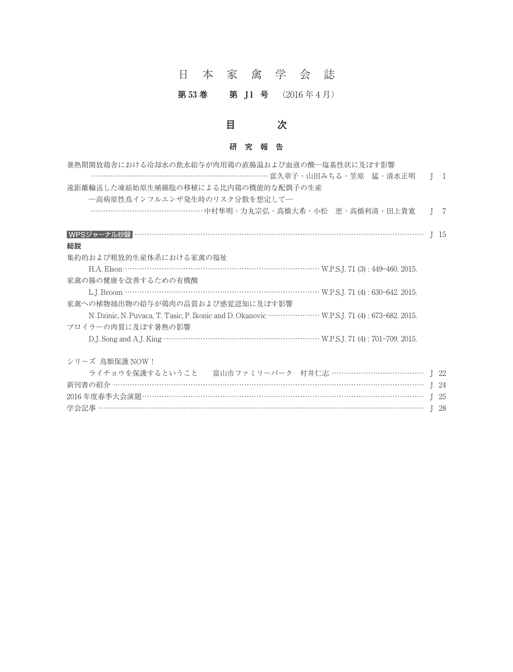### 日本家禽学会誌

#### 第53巻 第 J1 号 (2016年4月)

## **目 次**

#### **研究報告**

| 目<br>次                                                                                                                                                                |              |          |
|-----------------------------------------------------------------------------------------------------------------------------------------------------------------------|--------------|----------|
| 研<br>究報告                                                                                                                                                              |              |          |
| 暑熱期開放鶏舎における冷却水の飲水給与が肉用鶏の直腸温および血液の酸―塩基性状に及ぼす影響<br>……………………………………………………………… 富久章子・山田みちる・笠原 猛・清水正明<br>遠距離輸送した凍結始原生殖細胞の移植による比内鶏の機能的な配偶子の生産<br>―高病原性鳥インフルエンザ発生時のリスク分散を想定して― |              | $1\quad$ |
| ………………………………………… 中村隼明 · 力丸宗弘 · 高橋大希 · 小松 恵 · 高橋利清 · 田上貴寛                                                                                                              |              | - 7      |
| 総説                                                                                                                                                                    |              |          |
| 集約的および粗放的生産体系における家禽の福祉                                                                                                                                                |              |          |
| 家禽の腸の健康を改善するための有機酸                                                                                                                                                    |              |          |
| 家禽への植物抽出物の給与が鶏肉の品質および感覚認知に及ぼす影響                                                                                                                                       |              |          |
| ブロイラーの肉質に及ぼす暑熱の影響                                                                                                                                                     |              |          |
|                                                                                                                                                                       |              |          |
| シリーズ 鳥類保護 NOW!                                                                                                                                                        |              |          |
| ライチョウを保護するということ 富山市ファミリーパーク 村井仁志 …………………………………… J 22                                                                                                                  |              |          |
|                                                                                                                                                                       |              |          |
|                                                                                                                                                                       |              |          |
|                                                                                                                                                                       | $\mathsf{I}$ | -28      |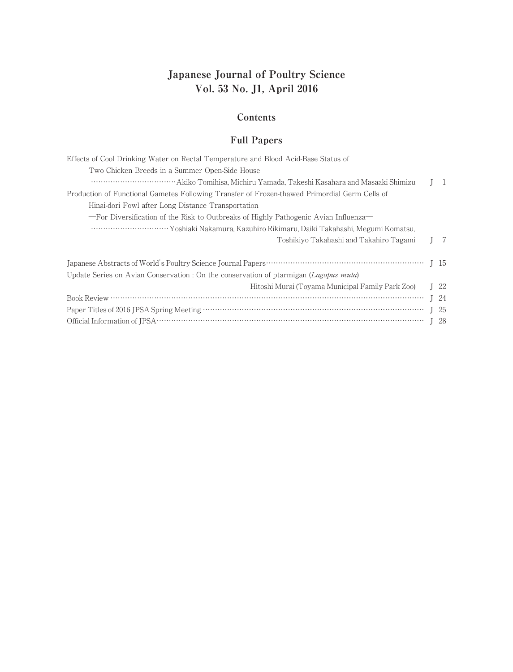# **Japanese Journal of Poultry Science Vol. 53 No. J1, April 2016**

#### **Contents**

#### **Full Papers**

| Effects of Cool Drinking Water on Rectal Temperature and Blood Acid-Base Status of            |  |                 |
|-----------------------------------------------------------------------------------------------|--|-----------------|
| Two Chicken Breeds in a Summer Open-Side House                                                |  |                 |
|                                                                                               |  | $\mathbf{1}$    |
| Production of Functional Gametes Following Transfer of Frozen-thawed Primordial Germ Cells of |  |                 |
| Hinai-dori Fowl after Long Distance Transportation                                            |  |                 |
| - For Diversification of the Risk to Outbreaks of Highly Pathogenic Avian Influenza           |  |                 |
|                                                                                               |  |                 |
| Toshikiyo Takahashi and Takahiro Tagami                                                       |  | 7               |
|                                                                                               |  |                 |
| Update Series on Avian Conservation : On the conservation of ptarmigan (Lagopus muta)         |  |                 |
| Hitoshi Murai (Toyama Municipal Family Park Zoo)                                              |  | I <sub>22</sub> |
|                                                                                               |  | $I$ 24          |
|                                                                                               |  | $1\quad25$      |
|                                                                                               |  | -28             |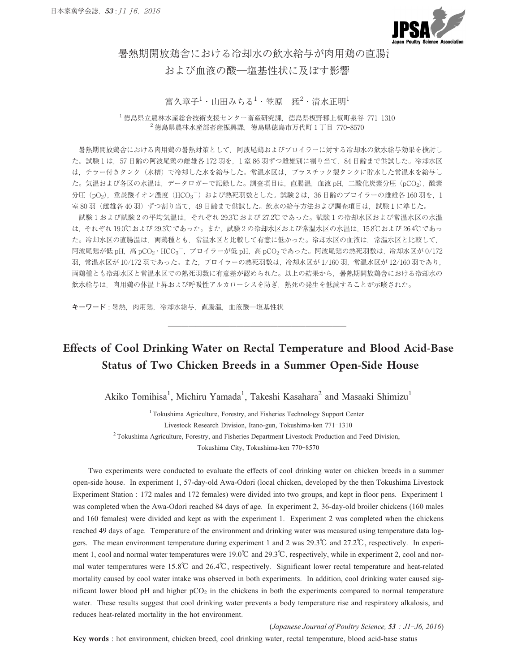

暑熱期開放鶏舎における冷却水の飲水給与が肉用鶏の直腸 ←<br>■<br>および血液の酸─塩基性状に及ぼす影響<br>および血液の酸─塩基性状に及ぼす影響

富久章子<sup>1</sup>・山田みちる<sup>1</sup>・笠原 猛<sup>2</sup>・清水正明<sup>1</sup>

<sup>1</sup> 徳島県立農林水産総合技術支援センター畜産研究課,徳島県板野郡上板町泉谷 771**-**<sup>1310</sup> - 富久章子<sup>1</sup>・山田みちる<sup>1</sup>・笠原 猛<sup>2</sup>・清水正明<sup>1</sup><br>農林水産総合技術支援センター畜産研究課, 徳島県板野郡上板町泉谷<br><sup>2</sup>徳島県農林水産部畜産振興課, 徳島県徳島市万代町1丁目 770-8570

暑熱期開放鶏舎における肉用鶏の暑熱対策として,阿波尾鶏およびブロイラーに対する冷却水の飲水給与効果を検討し た。試験 1 は,57 日齢の阿波尾鶏の雌雄各 172 羽を,1 室 86 羽ずつ雌雄別に割り当て,84 日齢まで供試した。冷却水区 **−**は,チラー付きタンク(水槽)で冷却した水を給与した。常温水区は,プラスチック製タンクに貯水した常温水を給与し た。気温および各区の水温は、データロガーで記録した。調査項目は、直腸温、血液 pH,二酸化炭素分圧(pCO2),酸素 分圧(pO<sub>2</sub>), 重炭酸イオン濃度 (HCO<sub>3</sub><sup>-</sup>) および熱死羽数とした。試験2は、36日齢のブロイラーの雌雄各 160 羽を, 1 室 80 羽 (雌雄各 40 羽) ずつ割り当て、49 日齢まで供試した。飲水の給与方法および調査項目は、試験1に準じた。 試験 1 および試験 2 の平均気温は,それぞれ 29.3℃および 27.2℃であった。試験 1 の冷却水区および常温水区の水温 **−**

は,それぞれ 19.0℃および 29.3℃であった。また,試験 2 の冷却水区および常温水区の水温は,15.8℃および 26.4℃であっ た。冷却水区の直腸温は,両鶏種とも,常温水区と比較して有意に低かった。冷却水区の血液は,常温水区と比較して, 阿波尾鶏が低 pH,高pCO<sub>2</sub> · HCO<sub>3</sub><sup>-</sup>, ブロイラーが低 pH, 高 pCO<sub>2</sub>であった。阿波尾鶏の熱死羽数は, 冷却水区が 0/172 羽,常温水区が 10/172 羽であった。また,ブロイラーの熱死羽数は,冷却水区が 1/160 羽,常温水区が 12/160 羽であり, 両鶏種とも冷却水区と常温水区での熱死羽数に有意差が認められた。以上の結果から,暑熱期開放鶏舎における冷却水の<br>飲水給与は,肉用鶏の体温上昇および呼吸性アルカローシスを防ぎ,熱死の発生を低減することが示唆された。<br>**キーワード** : 暑熱,肉用鶏,冷却水給与,直腸温,血液酸─塩基性状 飲水給与は,肉用鶏の体温上昇および呼吸性アルカローシスを防ぎ,熱死の発生を低減することが示唆された<mark>。</mark>

# Effects of Cool Drinking Water on Rectal Temperature and Blood Acid-Base Status of Two Chicken Breeds in a Summer Open-Side House

Akiko Tomihisa<sup>1</sup>, Michiru Yamada<sup>1</sup>, Takeshi Kasahara<sup>2</sup> and Masaaki Shimizu<sup>1</sup><br><sup>1</sup> Tokushima Agriculture, Forestry, and Fisheries Technology Support Center<br>Livestock Research Division, Itano-gun, Tokushima-ken 771-1310 <sup>1</sup>Tokushima Agriculture, Forestry, and Fisheries Technology Support Center<br>
Livestock Research Division, Itano-gun, Tokushima-ken 771-1310<br>
Agriculture, Forestry, and Fisheries Department Livestock Production and F<br>
Tokus <sup>2</sup> Tokushima Agriculture, Forestry, and Fisheries Department Livestock Production and Feed Division,

Two experiments were conducted to evaluate the effects of cool drinking water on chicken breeds in a summer open-side house. In experiment 1, 57-day-old Awa-Odori (local chicken, developed by the then Tokushima Livestock Experiment Station : 172 males and 172 females) were divided into two groups, and kept in floor pens. Experiment 1 was completed when the Awa-Odori reached 84 days of age. In experiment 2, 36-day-old broiler chickens (160 males and 160 females) were divided and kept as with the experiment 1. Experiment 2 was completed when the chickens reached 49 days of age. Temperature of the environment and drinking water was measured using temperature data loggers. The mean environment temperature during experiment 1 and 2 was 29.3<sup>°</sup>C and 27.2<sup>°</sup>C, respectively. In experiment 160 females) were divided and kept as with the experiment 1. Experiment 2 was completed when the chick mand 160 females) were divided and kept as with the experiment 1. Experiment 2, so day ord shorter emergent and 160 females) were divided and kept as with the experiment 1. Experiment 2 was completed when the chickens rea mal you changed that temperature of the environment and drinking water was measured using temperature data log-<br>gers. The mean environment temperature during experiment 1 and 2 was 29.3<sup>°</sup>C and 27.2<sup>°</sup>C, respectively. In mortality caused by cool water intake was observed in both experiments. In addition, cool drinking water caused significant lower blood pH and higher  $pCO<sub>2</sub>$  in the chickens in both the experiments compared to normal temperature water. These results suggest that cool drinking water prevents a body temperature rise and respiratory alkalosis, and reduces heat-related mortality in the hot environment. (*Japanese Journal of Poultry Science, <sup>53</sup> : J1***-***J6, 2016*)

**Key words** : hot environment, chicken breed, cool drinking water, rectal temperature, blood acid-base status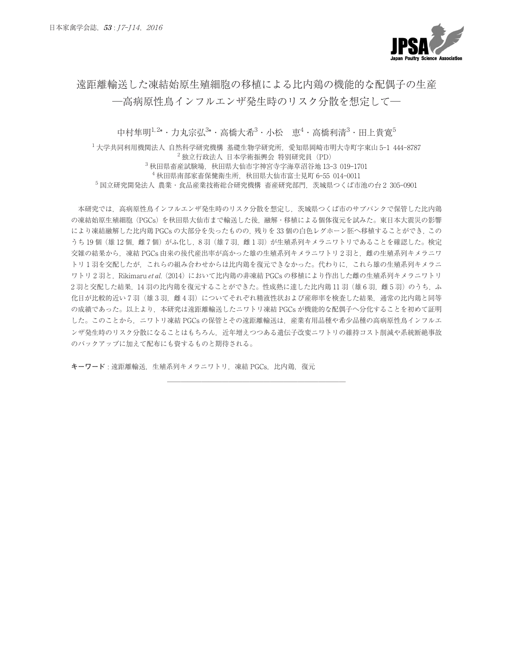

# 遠距離輸送した凍結始原生殖細胞の移植による比内鶏の機能的な配偶子の生産 高病原性鳥インフルエンザ発生時のリスク分散を想定して**─**

中村隼明<sup>1,2</sup>\* · 力丸宗弘<sup>3</sup>\* · 高橋大希<sup>3</sup> · 小松 恵<sup>4</sup> · 高橋利清<sup>3</sup> · 田上貴寛<sup>5</sup> <sup>1</sup> 大学共同利用機関法人 自然科学研究機構 基礎生物学研究所,愛知県岡崎市明大寺町字東山 <sup>5</sup>**-**<sup>1</sup> <sup>444</sup>**-**<sup>8787</sup>

 $2$ 独立行政法人 日本学術振興会 特別研究員 (PD) 男<sup>1,2</sup>\* ・力丸宗弘<sup>3</sup>\* ・高橋大希<sup>3</sup> ・小松 - 恵<sup>4</sup> ・高橋利清<sup>3</sup> ・田<br>関法人 自然科学研究機構 基礎生物学研究所,愛知県岡崎市明大寺町字』<br>- - ^ 独立行政法人 日本学術振興会 特別研究員(PD)<br><sup>3</sup>秋田県畜産試験場,秋田県大仙市字神宮寺字海草沼谷地 13-3 019-1701 <sup>1</sup> 大学共同利用機関法人 自然科学研究機構 基礎生物学研究所,愛知県岡崎市明大寺町字東山 5-1 444-8787<br><sup>2</sup> 独立行政法人 日本学術振興会 特別研究員 (PD)<br><sup>3</sup> 秋田県畜産試験場,秋田県大仙市字神宮寺字海草沼谷地 13-3 019-1701<br><sup>4</sup> 秋田県南部家畜保健衛生所,秋田県大仙市富士見町 6-55 014-0011<br><sup>4</sup> 秋田県南部家畜保健衛生所,秋田県大仙市富士見町 6-55 014-0011 <sup>5</sup> 国立研究開発法人 農業・食品産業技術総合研究機構 畜産研究部門,茨城県つくば市池の台 <sup>2</sup> <sup>305</sup>**-**<sup>0901</sup>

本研究では、高病原性鳥インフルエンザ発生時のリスク分散を想定し、茨城県つくば市のサブバンクで保管した比内鶏 の凍結始原生殖細胞(PGCs)を秋田県大仙市まで輸送した後,融解・移植による個体復元を試みた。東日本大震災の影響 により凍結融解した比内鶏 PGCs の大部分を失ったものの,残りを 33 個の白色レグホーン胚へ移植することができ,この うち 19 個 (雄 12 個, 雌 7 個) がふ化し, 8 羽 (雄 7 羽, 雌 1 羽) が生殖系列キメラニワトリであることを確認した。検定 交雑の結果から、凍結 PGCs 由来の後代産出率が高かった雄の生殖系列キメラニワトリ2羽と、雌の生殖系列キメラニワ トリ 1 羽を交配したが,これらの組み合わせからは比内鶏を復元できなかった。代わりに,これら雄の生殖系列キメラニ ワトリ2羽と、Rikimaru et al. (2014)において比内鶏の非凍結 PGCs の移植により作出した雌の生殖系列キメラニワトリ 2 羽と交配した結果、14 羽の比内鶏を復元することができた。性成熟に達した比内鶏 11 羽(雄 6 羽,雌 5 羽)のうち、ふ 化日が比較的近い7羽(雄3羽,雌4羽)についてそれぞれ精液性状および産卵率を検査した結果,通常の比内鶏と同等 の成績であった。以上より,本研究は遠距離輸送したニワトリ凍結 PGCs が機能的な配偶子へ分化することを初めて証明 した。このことから,ニワトリ凍結 PGCs の保管とその遠距離輸送は,産業有用品種や希少品種の高病原性鳥インフルエ ンザ発生時のリスク分散になることはもちろん,近年増えつつある遺伝子改変ニワトリの維持コスト削減や系統断絶事故 のバックアップに加えて配布にも資するものと期待される。

**キーワード** : 遠距離輸送,生殖系列キメラニワトリ,凍結 PGCs,比内鶏,復元